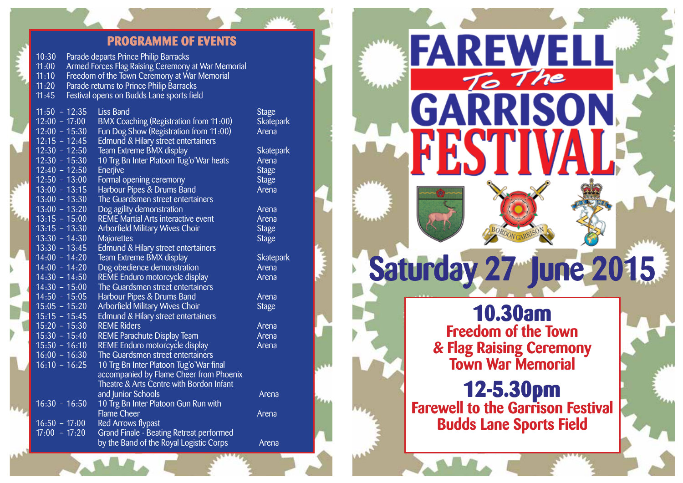## **PROGRAMME OF EVENTS**

Skatepark<br>Arena

Skatepark<br>Arena

Skatepark

| 10:30                                   |                                                    | Parade departs Prince Philip Barracks        |               |
|-----------------------------------------|----------------------------------------------------|----------------------------------------------|---------------|
| 11:00                                   | Armed Forces Flag Raising Ceremony at War Memorial |                                              |               |
| 11:10                                   |                                                    | Freedom of the Town Ceremony at War Memorial |               |
| 11:20                                   |                                                    | Parade returns to Prince Philip Barracks     |               |
| 11:45                                   |                                                    | Festival opens on Budds Lane sports field    |               |
|                                         |                                                    |                                              |               |
| $11:50 - 12:35$                         |                                                    | <b>Liss Band</b>                             | <b>Stage</b>  |
| $12:00 - 17:00$                         |                                                    | BMX Coaching (Registration from 11:00)       | Skatep        |
| $12:00 - 15:30$                         |                                                    | Fun Dog Show (Registration from 11:00)       | Arena         |
| $12:15 - 12:45$                         |                                                    | Edmund & Hilary street entertainers          |               |
| $12:30 - 12:50$                         |                                                    | Team Extreme BMX display                     | <b>Skatep</b> |
| $12:30 - 15:30$                         |                                                    | 10 Trg Bn Inter Platoon Tug'o'War heats      | Arena         |
| $12:40 - 12:50$                         |                                                    | Enerjive                                     | <b>Stage</b>  |
| $12:50 - 13:00$                         |                                                    | Formal opening ceremony                      | <b>Stage</b>  |
| $13:00 - 13:15$                         |                                                    | Harbour Pipes & Drums Band                   | Arena         |
| $13:00 - 13:30$                         |                                                    | The Guardsmen street entertainers            |               |
| $13:00 - 13:20$                         |                                                    | Dog agility demonstration                    | Arena         |
| $13:15 - 15:00$                         |                                                    | <b>REME Martial Arts interactive event</b>   | Arena         |
| $13:15 - 13:30$                         |                                                    | <b>Arborfield Military Wives Choir</b>       | <b>Stage</b>  |
| $13:30 - 14:30$                         |                                                    | <b>Majorettes</b>                            | <b>Stage</b>  |
| $13:30 - 13:45$                         |                                                    | Edmund & Hilary street entertainers          |               |
| $14:00 - 14:20$                         |                                                    | Team Extreme BMX display                     | <b>Skatep</b> |
| $14:00 - 14:20$                         |                                                    | Dog obedience demonstration                  | Arena         |
| $14:30 - 14:50$                         |                                                    | REME Enduro motorcycle display               | Arena         |
| $14:30 - 15:00$                         |                                                    | The Guardsmen street entertainers            |               |
| $14:50 - 15:05$                         |                                                    | Harbour Pipes & Drums Band                   | Arena         |
| $15:05 - 15:20$                         |                                                    | Arborfield Military Wives Choir              | <b>Stage</b>  |
| $15:15 - 15:45$                         |                                                    | Edmund & Hilary street entertainers          |               |
| $15:20 - 15:30$                         |                                                    | <b>REME Riders</b>                           | Arena         |
| $15:30 - 15:40$                         |                                                    | <b>REME Parachute Display Team</b>           | Arena         |
| $15:50 - 16:10$                         |                                                    | REME Enduro motorcycle display               | Arena         |
| $16:00 - 16:30$                         |                                                    | The Guardsmen street entertainers            |               |
| $16:10 - 16:25$                         |                                                    | 10 Trg Bn Inter Platoon Tug'o'War final      |               |
|                                         |                                                    | accompanied by Flame Cheer from Phoenix      |               |
|                                         |                                                    | Theatre & Arts Centre with Bordon Infant     |               |
|                                         |                                                    | and Junior Schools                           | Arena         |
| $16:30 - 16:50$                         |                                                    | 10 Trg Bn Inter Platoon Gun Run with         |               |
|                                         |                                                    | <b>Flame Cheer</b>                           | Arena         |
| $16:50 - 17:00$                         |                                                    | <b>Red Arrows flypast</b>                    |               |
| $\overline{17:00}$ - $\overline{17:20}$ |                                                    | Grand Finale - Beating Retreat performed     |               |
|                                         |                                                    | by the Band of the Royal Logistic Corps      | Arena         |
|                                         |                                                    |                                              |               |

To The RRISON GAI **Saturday 27 June 2015 10.30am Freedom of the Town & Flag Raising Ceremony Town War Memorial 12-5.30pm Farewell to the Garrison Festival Budds Lane Sports Field** 

**FAREWELL**